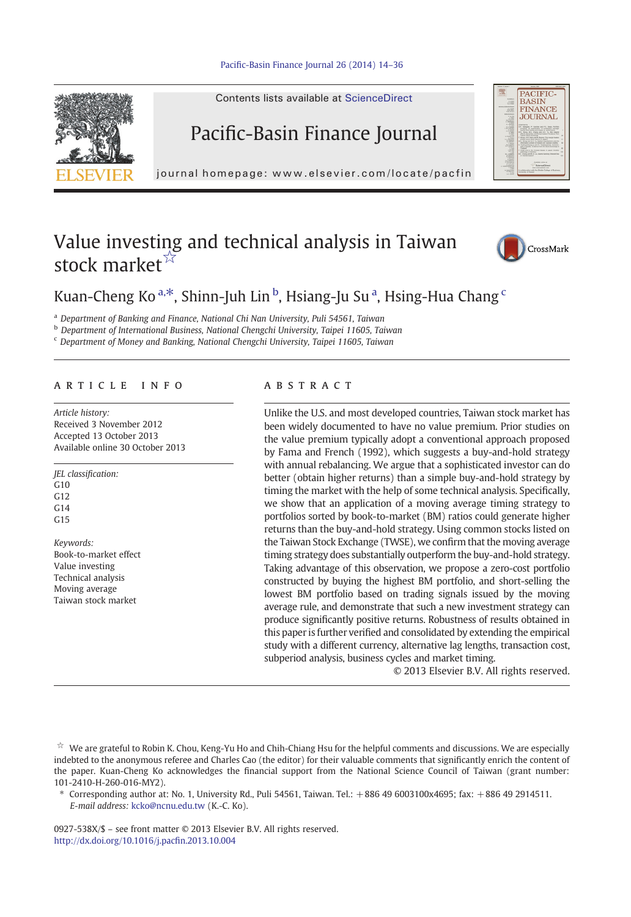

Contents lists available at ScienceDirect

# Pacific-Basin Finance Journal

journal homepage: www.elsevier.com/locate/pacfin

# Value investing and technical analysis in Taiwan stock market☆



PACIFIC-<br>BASIN

**EINANCE** JOURNAL

## Kuan-Cheng Ko<sup>a,\*</sup>, Shinn-Juh Lin <sup>b</sup>, Hsiang-Ju Su <sup>a</sup>, Hsing-Hua Chang <sup>c</sup>

<sup>a</sup> Department of Banking and Finance, National Chi Nan University, Puli 54561, Taiwan

**b** Department of International Business, National Chengchi University, Taipei 11605, Taiwan

<sup>c</sup> Department of Money and Banking, National Chengchi University, Taipei 11605, Taiwan

#### article info abstract

Article history: Received 3 November 2012 Accepted 13 October 2013 Available online 30 October 2013

JEL classification: G10  $G12$  $C<sub>14</sub>$  $G<sub>15</sub>$ Keywords: Book-to-market effect Value investing Technical analysis Moving average Taiwan stock market

Unlike the U.S. and most developed countries, Taiwan stock market has been widely documented to have no value premium. Prior studies on the value premium typically adopt a conventional approach proposed by Fama and French (1992), which suggests a buy-and-hold strategy with annual rebalancing. We argue that a sophisticated investor can do better (obtain higher returns) than a simple buy-and-hold strategy by timing the market with the help of some technical analysis. Specifically, we show that an application of a moving average timing strategy to portfolios sorted by book-to-market (BM) ratios could generate higher returns than the buy-and-hold strategy. Using common stocks listed on the Taiwan Stock Exchange (TWSE), we confirm that the moving average timing strategy does substantially outperform the buy-and-hold strategy. Taking advantage of this observation, we propose a zero-cost portfolio constructed by buying the highest BM portfolio, and short-selling the lowest BM portfolio based on trading signals issued by the moving average rule, and demonstrate that such a new investment strategy can produce significantly positive returns. Robustness of results obtained in this paper is further verified and consolidated by extending the empirical study with a different currency, alternative lag lengths, transaction cost, subperiod analysis, business cycles and market timing.

© 2013 Elsevier B.V. All rights reserved.

 $\hat{\bm{\tau}}$  We are grateful to Robin K. Chou, Keng-Yu Ho and Chih-Chiang Hsu for the helpful comments and discussions. We are especially indebted to the anonymous referee and Charles Cao (the editor) for their valuable comments that significantly enrich the content of the paper. Kuan-Cheng Ko acknowledges the financial support from the National Science Council of Taiwan (grant number: 101-2410-H-260-016-MY2).

 $*$  Corresponding author at: No. 1, University Rd., Puli 54561, Taiwan. Tel.:  $+886$  49 6003100x4695; fax:  $+886$  49 2914511. E-mail address: [kcko@ncnu.edu.tw](mailto:kcko@ncnu.edu.tw) (K.-C. Ko).

0927-538X/\$ – see front matter © 2013 Elsevier B.V. All rights reserved. [http://dx.doi.org/10.1016/j.pac](http://dx.doi.org/10.1016/j.pacfin.2013.10.004)fin.2013.10.004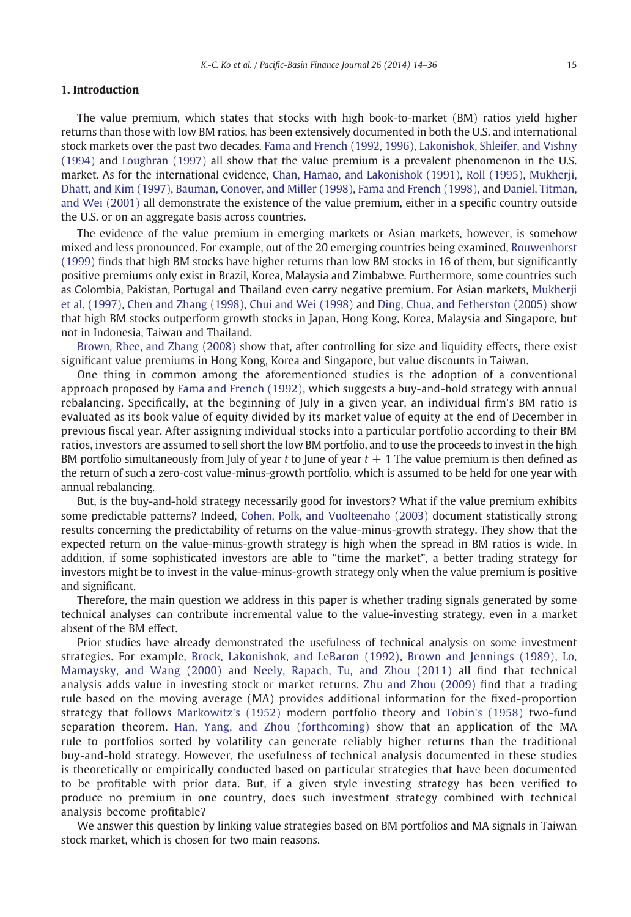### 1. Introduction

The value premium, which states that stocks with high book-to-market (BM) ratios yield higher returns than those with low BM ratios, has been extensively documented in both the U.S. and international stock markets over the past two decades. [Fama and French \(1992, 1996\)](#page--1-0), [Lakonishok, Shleifer, and Vishny](#page--1-0) [\(1994\)](#page--1-0) and [Loughran \(1997\)](#page--1-0) all show that the value premium is a prevalent phenomenon in the U.S. market. As for the international evidence, [Chan, Hamao, and Lakonishok \(1991\)](#page--1-0), [Roll \(1995\)](#page--1-0), [Mukherji,](#page--1-0) [Dhatt, and Kim \(1997\),](#page--1-0) [Bauman, Conover, and Miller \(1998\),](#page--1-0) [Fama and French \(1998\)](#page--1-0), and [Daniel, Titman,](#page--1-0) [and Wei \(2001\)](#page--1-0) all demonstrate the existence of the value premium, either in a specific country outside the U.S. or on an aggregate basis across countries.

The evidence of the value premium in emerging markets or Asian markets, however, is somehow mixed and less pronounced. For example, out of the 20 emerging countries being examined, [Rouwenhorst](#page--1-0) [\(1999\)](#page--1-0) finds that high BM stocks have higher returns than low BM stocks in 16 of them, but significantly positive premiums only exist in Brazil, Korea, Malaysia and Zimbabwe. Furthermore, some countries such as Colombia, Pakistan, Portugal and Thailand even carry negative premium. For Asian markets, [Mukherji](#page--1-0) [et al. \(1997\)](#page--1-0), [Chen and Zhang \(1998\)](#page--1-0), [Chui and Wei \(1998\)](#page--1-0) and [Ding, Chua, and Fetherston \(2005\)](#page--1-0) show that high BM stocks outperform growth stocks in Japan, Hong Kong, Korea, Malaysia and Singapore, but not in Indonesia, Taiwan and Thailand.

[Brown, Rhee, and Zhang \(2008\)](#page--1-0) show that, after controlling for size and liquidity effects, there exist significant value premiums in Hong Kong, Korea and Singapore, but value discounts in Taiwan.

One thing in common among the aforementioned studies is the adoption of a conventional approach proposed by [Fama and French \(1992\),](#page--1-0) which suggests a buy-and-hold strategy with annual rebalancing. Specifically, at the beginning of July in a given year, an individual firm's BM ratio is evaluated as its book value of equity divided by its market value of equity at the end of December in previous fiscal year. After assigning individual stocks into a particular portfolio according to their BM ratios, investors are assumed to sell short the low BM portfolio, and to use the proceeds to invest in the high BM portfolio simultaneously from July of year t to June of year  $t + 1$  The value premium is then defined as the return of such a zero-cost value-minus-growth portfolio, which is assumed to be held for one year with annual rebalancing.

But, is the buy-and-hold strategy necessarily good for investors? What if the value premium exhibits some predictable patterns? Indeed, [Cohen, Polk, and Vuolteenaho \(2003\)](#page--1-0) document statistically strong results concerning the predictability of returns on the value-minus-growth strategy. They show that the expected return on the value-minus-growth strategy is high when the spread in BM ratios is wide. In addition, if some sophisticated investors are able to "time the market", a better trading strategy for investors might be to invest in the value-minus-growth strategy only when the value premium is positive and significant.

Therefore, the main question we address in this paper is whether trading signals generated by some technical analyses can contribute incremental value to the value-investing strategy, even in a market absent of the BM effect.

Prior studies have already demonstrated the usefulness of technical analysis on some investment strategies. For example, [Brock, Lakonishok, and LeBaron \(1992\),](#page--1-0) [Brown and Jennings \(1989\),](#page--1-0) [Lo,](#page--1-0) [Mamaysky, and Wang \(2000\)](#page--1-0) and [Neely, Rapach, Tu, and Zhou \(2011\)](#page--1-0) all find that technical analysis adds value in investing stock or market returns. [Zhu and Zhou \(2009\)](#page--1-0) find that a trading rule based on the moving average (MA) provides additional information for the fixed-proportion strategy that follows [Markowitz's \(1952\)](#page--1-0) modern portfolio theory and [Tobin's \(1958\)](#page--1-0) two-fund separation theorem. [Han, Yang, and Zhou \(forthcoming\)](#page--1-0) show that an application of the MA rule to portfolios sorted by volatility can generate reliably higher returns than the traditional buy-and-hold strategy. However, the usefulness of technical analysis documented in these studies is theoretically or empirically conducted based on particular strategies that have been documented to be profitable with prior data. But, if a given style investing strategy has been verified to produce no premium in one country, does such investment strategy combined with technical analysis become profitable?

We answer this question by linking value strategies based on BM portfolios and MA signals in Taiwan stock market, which is chosen for two main reasons.